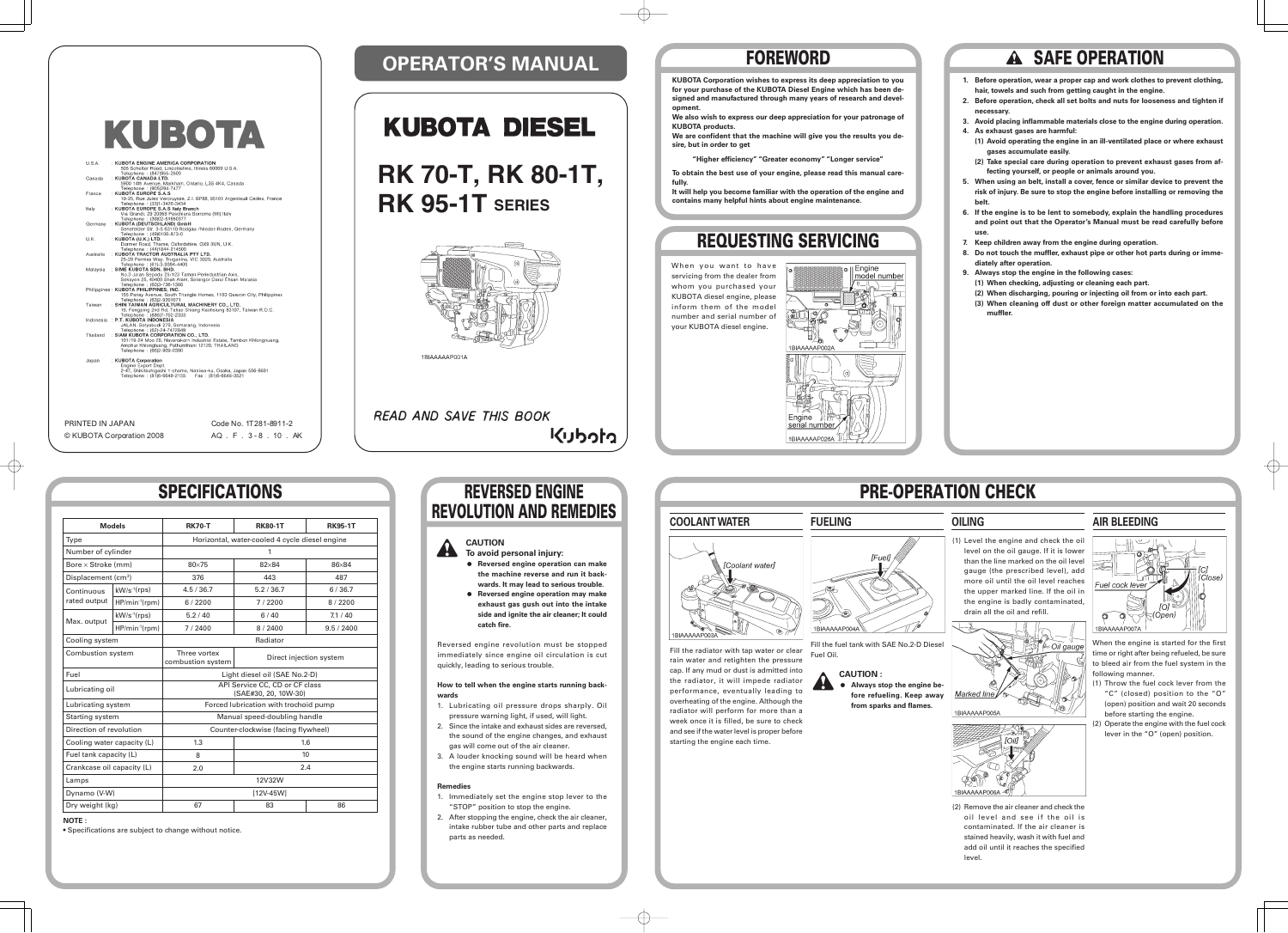# **OPERATOR'S MANUAL**

# **KUBOTA DIESEL**

# **PRE-OPERATION CHECK**





# **FOREWORD**

# **REQUESTING SERVICING**

# **SPECIFICATIONS**

#### **Models RK70-T RK80-1T RK95-1T** Type Number of cylinder Bore × Stroke (mm) Displacement (cm<sup>3</sup>) Continuous rated output Max. output Cooling system Combustion system Fuel Lubricating oil Lubricating system Starting system Direction of revolution Cooling water capacity (L) Fuel tank capacity (L) Crankcase oil capacity (L) Lamps Dynamo (V-W) Dry weight (kg) Direct injection system 1.6 10 2.4 Horizontal, water-cooled 4 cycle diesel engine 1 Radiator Light diesel oil (SAE No.2-D) API Service CC, CD or CF class (SAE#30, 20, 10W-30) Forced lubrication with trochoid pump Manual speed-doubling handle Counter-clockwise (facing flywheel) 12V32W [12V-45W] kW/s-1(rps) HP/min-1(rpm) kW/s-1(rps) HP/min-1(rpm) 82×84 443 5.2 / 36.7 7 / 2200 6 / 40 8 / 2400 83 80×75 376 4.5 / 36.7 6 / 2200 5.2 / 40 7 / 2400 Three vortex combustion system 1.3 8 2.0 67 86 86×84 487 6 / 36.7 8 / 2200 7.1 / 40 9.5 / 2400

#### **NOTE :**

• Specifications are subject to change without notice.

### **REVERSED ENGINE REVOLUTION AND REMEDIES**

# **RK 70-T, RK 80-1T, RK 95-1T SERIES**



**READ AND SAVE THIS BOOK** 

くりっけっ

# lCoolant wateri 1BIAAAAAP003A

# KUBOTA

| U.S.A.    |  | : KUBOTA ENGINE AMERICA CORPORATION                                    |
|-----------|--|------------------------------------------------------------------------|
|           |  | 505 Schelter Road, Lincolnshire, Illinois 60069 U.S.A.                 |
|           |  | Telephone: (847)955-2500                                               |
| Canada    |  | : KUBOTA CANADA LTD.                                                   |
|           |  | 5900 14th Avenue, Markham, Ontario, L3S 4K4, Canada                    |
|           |  | Telephone: (905)294-7477                                               |
| France    |  | : KUBOTA EUROPE S.A.S                                                  |
|           |  | 19-25, Rue Jules Vercruysse, Z.I. BP88, 95101 Argenteuil Cedex, France |
|           |  |                                                                        |
|           |  | Telephone: (33)1-3426-3434                                             |
| Italy     |  | : KUBOTA EUROPE S.A.S Italy Branch                                     |
|           |  | Via Grandi, 29 20068 Peschiera Borrome (MI) Italy                      |
|           |  | Telephone: (39)02-51650377                                             |
| Germany   |  | : KUBOTA (DEUTSCHLAND) GmbH                                            |
|           |  | Senefelder Str. 3-5 63110 Rodgau /Nieder-Roden, Germany                |
|           |  | Telephone: (49)6106-873-0                                              |
| U.K.      |  | : KUBOTA (U.K.) LTD.                                                   |
|           |  | Dormer Road, Thame, Oxfordshire, OX9 3UN, U.K.                         |
|           |  | Telephone: (44)1844-214500                                             |
| Australia |  | : KUBOTA TRACTOR AUSTRALIA PTY LTD.                                    |
|           |  | 25-29 Permas Way, Truganina, VIC 3029, Australia                       |
|           |  | Telephone: (61)-3-9394-4400                                            |
| Malaysia  |  | : SIME KUBOTA SDN. BHD.                                                |
|           |  |                                                                        |
|           |  | No.3 Jalan Sepadu 25/123 Taman Perindustrian Axis,                     |
|           |  | Seksyen 25, 40400 Shah Alam, Selangor Darul Ehsan Malasia              |
|           |  | Telephone: (60)3-736-1388                                              |
|           |  | Philippines: KUBOTA PHILIPPINES, INC.                                  |
|           |  | 155 Panay Avenue, South Triangle Homes, 1103 Quezon City, Philippines  |
|           |  | Telephone: (63)2-9201071                                               |
| Taiwan    |  | : SHIN TAIWAN AGRICULTURAL MACHINERY CO., LTD.                         |
|           |  | 16, Fengping 2nd Rd, Taliao Shiang Kaohsiung 83107, Taiwan R.O.C.      |
|           |  | Telephone: (886)7-702-2333                                             |
|           |  | Indonesia : P.T. KUBOTA INDONESIA                                      |
|           |  | JALAN. Setyabudi 279, Semarang, Indonesia                              |
|           |  | Telephone: (62)-24-7472849                                             |
| Thailand  |  | : SIAM KUBOTA CORPORATION CO., LTD.                                    |
|           |  | 101/19-24 Moo 20, Navanakorn Industrial Estate, Tambon Khlongnueng,    |
|           |  | Amphur Khlongluang, Pathumthani 12120, THAILAND                        |
|           |  | Telephone: (66)2-909-0300                                              |
|           |  |                                                                        |
|           |  |                                                                        |
| Japan     |  | : KUBOTA Corporation                                                   |
|           |  | Engine Export Dept.                                                    |
|           |  | 2-47, Shikitsuhigashi 1-chome, Naniwa-ku, Osaka, Japan 556-8601        |
|           |  | Telephone: (81)6-6648-2155    Fax: (81)6-6648-3521                     |
|           |  |                                                                        |
|           |  |                                                                        |
|           |  |                                                                        |
|           |  |                                                                        |
|           |  |                                                                        |

PRINTED IN JAPAN © KUBOTA Corporation 2008 Code No. 1T281-8911-2 AQ . F . 3 - 8 . 10 . AK **opment.**

**KUBOTA products.**

- **KUBOTA Corporation wishes to express its deep appreciation to you for your purchase of the KUBOTA Diesel Engine which has been designed and manufactured through many years of research and devel-**
- **We also wish to express our deep appreciation for your patronage of**
- **We are confident that the machine will give you the results you de-**
	- **"Higher efficiency" "Greater economy" "Longer service"**
- **To obtain the best use of your engine, please read this manual care-**
- **It will help you become familiar with the operation of the engine and contains many helpful hints about engine maintenance.**

**sire, but in order to get**

**fully.**

When you want to have servicing from the dealer from whom you purchased your KUBOTA diesel engine, please inform them of the model number and serial number of your KUBOTA diesel engine.



# **A SAFE OPERATION**

- **1. Before operation, wear a proper cap and work clothes to prevent clothing, hair, towels and such from getting caught in the engine.**
- **2. Before operation, check all set bolts and nuts for looseness and tighten if necessary.**
- **3. Avoid placing inflammable materials close to the engine during operation. 4. As exhaust gases are harmful:**
- **(1) Avoid operating the engine in an ill-ventilated place or where exhaust gases accumulate easily.**
- **(2) Take special care during operation to prevent exhaust gases from affecting yourself, or people or animals around you.**
- **5. When using an belt, install a cover, fence or similar device to prevent the risk of injury. Be sure to stop the engine before installing or removing the belt.**
- **6. If the engine is to be lent to somebody, explain the handling procedures and point out that the Operator's Manual must be read carefully before use.**
- **7. Keep children away from the engine during operation.**
- **8. Do not touch the muffler, exhaust pipe or other hot parts during or immediately after operation.**
- **9. Always stop the engine in the following cases:**
- **(1) When checking, adjusting or cleaning each part.**
- **(2) When discharging, pouring or injecting oil from or into each part.**
- **(3) When cleaning off dust or other foreign matter accumulated on the muffler.**



1 **Reversed engine operation may make exhaust gas gush out into the intake side and ignite the air cleaner; It could catch fire.**

Reversed engine revolution must be stopped immediately since engine oil circulation is cut quickly, leading to serious trouble.

**How to tell when the engine starts running backwards**



- 1. Lubricating oil pressure drops sharply. Oil pressure warning light, if used, will light.
- 2. Since the intake and exhaust sides are reversed, the sound of the engine changes, and exhaust gas will come out of the air cleaner.
- 3. A louder knocking sound will be heard when the engine starts running backwards.

#### **Remedies**

- 1. Immediately set the engine stop lever to the "STOP" position to stop the engine.
- 2. After stopping the engine, check the air cleaner, intake rubber tube and other parts and replace parts as needed.

### **COOLANT WATER FUELING OILING AIR BLEEDING**



Fill the radiator with tap water or clear rain water and retighten the pressure cap. If any mud or dust is admitted into the radiator, it will impede radiator performance, eventually leading to overheating of the engine. Although the radiator will perform for more than a week once it is filled, be sure to check and see if the water level is proper before starting the engine each time.

Fill the fuel tank with SAE No.2-D Diesel Fuel Oil.



(1) Level the engine and check the oil level on the oil gauge. If it is lower than the line marked on the oil level gauge (the prescribed level), add more oil until the oil level reaches the upper marked line. If the oil in the engine is badly contaminated, drain all the oil and refill.





(2) Remove the air cleaner and check the oil level and see if the oil is contaminated. If the air cleaner is stained heavily, wash it with fuel and add oil until it reaches the specified level.

When the engine is started for the first time or right after being refueled, be sure to bleed air from the fuel system in the following manner.

- (1) Throw the fuel cock lever from the "C" (closed) position to the "O" (open) position and wait 20 seconds before starting the engine.
- (2) Operate the engine with the fuel cock lever in the "O" (open) position.